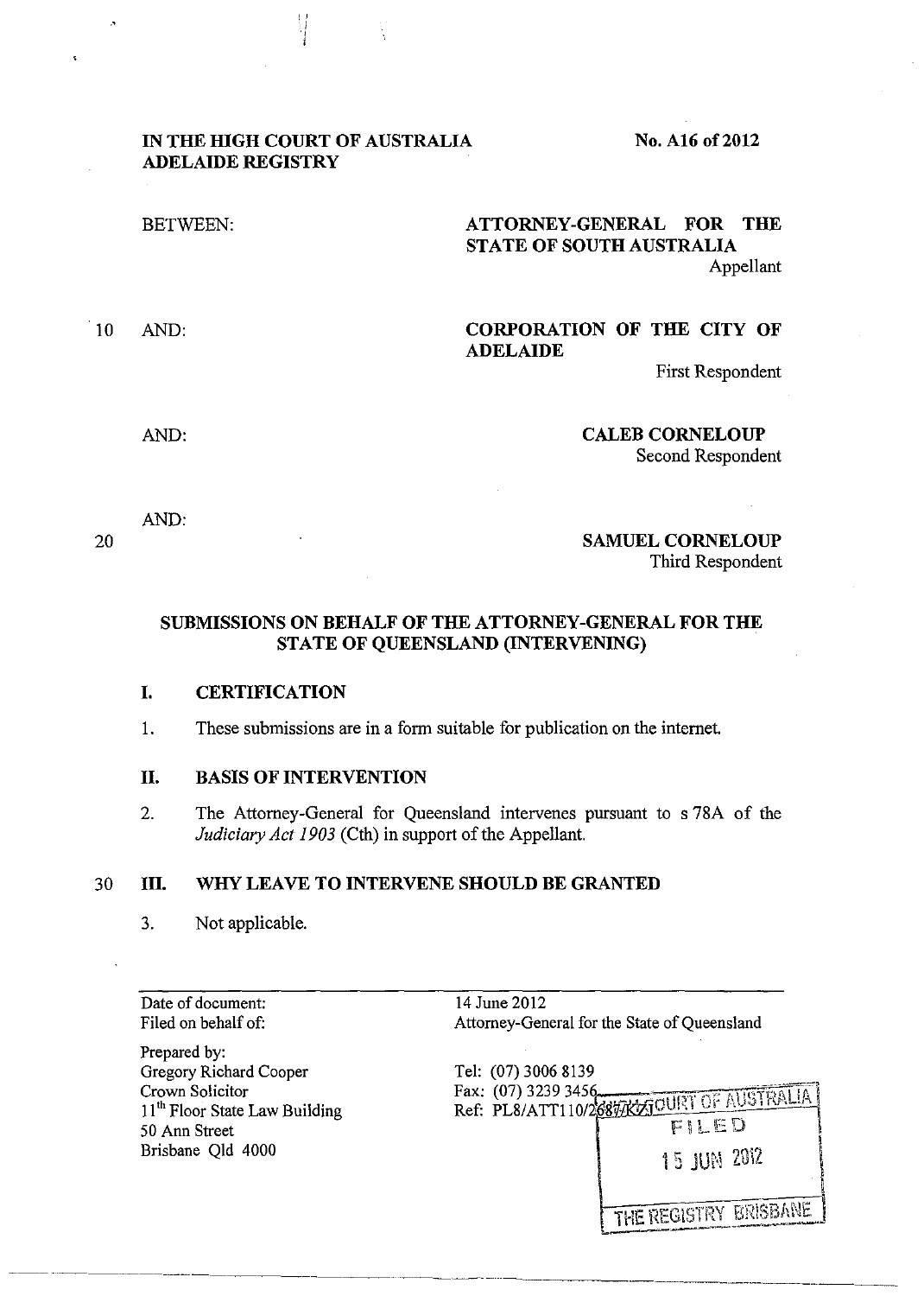### **IN THE HIGH COURT OF AUSTRALIA ADELAIDE REGISTRY**

No. **A16 of2012** 

BETWEEN: **ATTORNEY-GENERAL FOR THE STATE OF SOUTH AUSTRALIA**  Appellant

·'

# 10 AND: **CORPORATION OF THE CITY OF ADELAIDE**

First Respondent

AND:

**CALEB CORNELOUP**  Second Respondent

**SAMUEL CORNELOUP** 

AND:

20

Third Respondent

## **SUBMISSIONS ON BEHALF OF THE ATTORNEY-GENERAL FOR THE STATE OF QUEENSLAND (INTERVENING)**

### **I. CERTIFICATION**

1. These submissions are in a form suitable for publication on the internet.

## **II. BASIS OF INTERVENTION**

2. The Attorney-General for Queensland intervenes pursuant to s 78A of the *Judiciary Act 1903* (Cth) in support of the Appellant.

14 June 2012

### 30 **III. WHY LEAVE TO INTERVENE SHOULD BE GRANTED**

| 3. |  | Not applicable. |  |
|----|--|-----------------|--|
|    |  |                 |  |

Date of document: Filed on behalf of:

Prepared by: Gregory Richard Cooper Crown Solicitor 11<sup>th</sup> Floor State Law Building 50 Ann Street Brisbane Qld 4000

|                     | Attorney-General for the State of Queensland       |
|---------------------|----------------------------------------------------|
| Tel: (07) 3006 8139 |                                                    |
|                     |                                                    |
|                     | Ref: PL8/ATT110/26877KZTOURT OF AUSTRALIA<br>FILED |
|                     | <b>15 JUN 2012</b>                                 |
|                     | THE REGISTRY BRISBANE                              |

~~~---~~ --------------- --~--~--------~-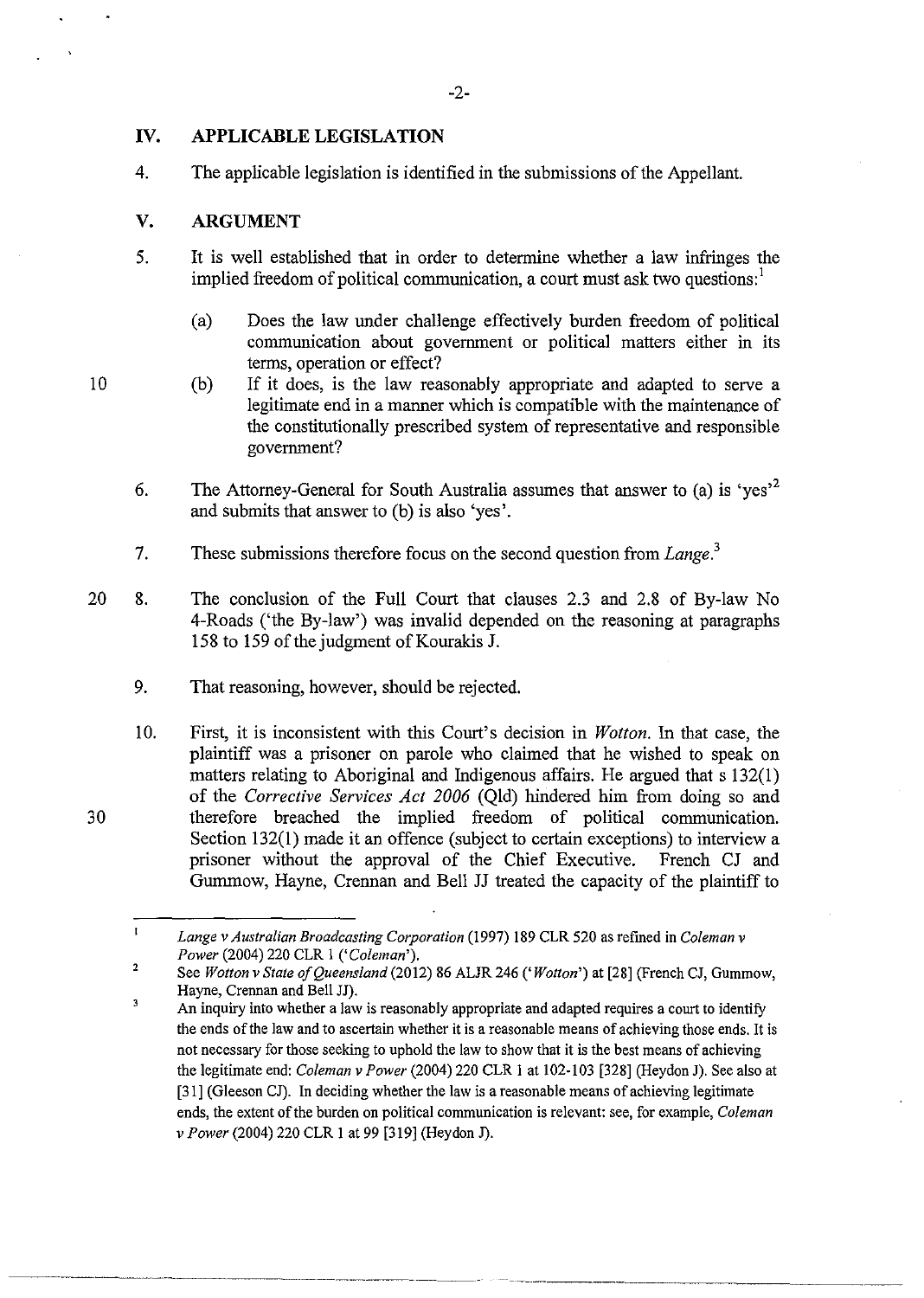# **IV. APPLICABLE LEGISLATION**

4. The applicable legislation is identified in the submissions of the Appellant.

### **V. ARGUMENT**

- 5. It is well established that in order to determine whether a law infringes the implied freedom of political communication, a court must ask two questions:
	- (a) Does the law under challenge effectively burden freedom of political communication about government or political matters either in its terms, operation or effect?
	- (b) If it does, is the law reasonably appropriate and adapted to serve a legitimate end in a manner which is compatible with the maintenance of the constitutionally prescribed system of representative and responsible government?
- 6. The Attorney-General for South Australia assumes that answer to (a) is 'ves'<sup>2</sup> and submits that answer to (b) is also 'yes'.
- 7. These submissions therefore focus on the second question from *Lange.<sup>3</sup>*
- 20 8. The conclusion of the Full Court that clauses 2.3 and 2.8 of By-law No 4-Roads ('the By-law') was invalid depended on the reasoning at paragraphs 158 to 159 of the judgment of Kourakis J.
	- 9. That reasoning, however, should be rejected.
	- 10. First, it is inconsistent with this Court's decision in *Wotton.* In that case, the plaintiff was a prisoner on parole who claimed that he wished to speak on matters relating to Aboriginal and Indigenous affairs. He argued that s 132(1) of the *Corrective Services Act 2006* (Qld) hindered him from doing so and therefore breached the implied freedom of political communication. Section 132(1) made it an offence (subject to certain exceptions) to interview a prisoner without the approval of the Chief Executive. French CJ and Gumrnow, Hayne, Crennan and Bell JJ treated the capacity of the plaintiff to

10

30

 $\mathbf{r}$ *Lange v Australian Broadcasting Corporation* (1997) 189 CLR 520 as refmed in *Coleman v Power* (2004) 220 CLR I *('Coleman').* 

<sup>2</sup>  See *Wotton v State of Queensland* (2012) 86 ALJR 246 *('Wotton')* at [28] (French CJ, Gummow, Hayne, Crennan and Bell JJ).

 $\overline{3}$ An inquiry into whether a law is reasonably appropriate and adapted requires a court to identify the ends of the law and to ascertain whether it is a reasonable means of achieving those ends. It is not necessary for those seeking to uphold the law to show that it is the best means of achieving the legitimate end: *Coleman v Power* (2004) 220 CLR I at I 02-103 [328] (Heydon J). See also at [31] (Gleeson CJ). In deciding whether the law is a reasonable means of achieving legitimate ends, the extent of the burden on political communication is relevant: see, for example, *Coleman v Power* (2004) 220 CLR I at 99 [319] (Heydon J).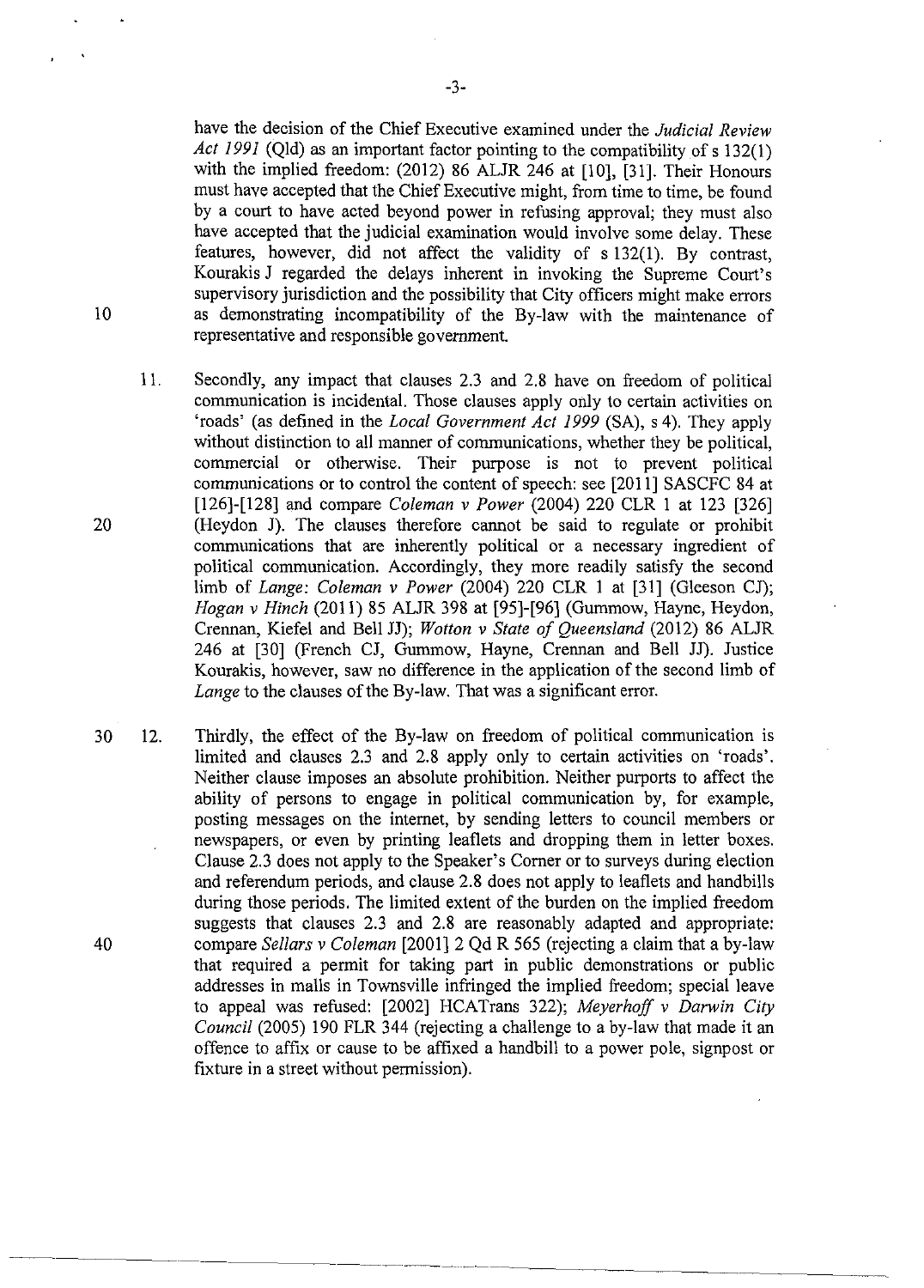have the decision of the Chief Executive examined under the *Judicial Review Act 1991* (Qld) as an important factor pointing to the compatibility of s 132(1) with the implied freedom: (2012) 86 ALJR 246 at [10], [31]. Their Honours must have accepted that the Chief Executive might, from time to time, be found by a court to have acted beyond power in refusing approval; they must also have accepted that the judicial examination would involve some delay. These features, however, did not affect the validity of s 132(1). By contrast, Kourakis J regarded the delays inherent in invoking the Supreme Court's supervisory jurisdiction and the possibility that City officers might make errors as demonstrating incompatibility of the By-law with the maintenance of representative and responsible government.

- 11. Secondly, any impact that clauses 2.3 and 2.8 have on freedom of political communication is incidental. Those clauses apply only to certain activities on 'roads' (as defined in the *Local Government Act 1999* (SA), s 4). They apply without distinction to all manner of communications, whether they be political, commercial or otherwise. Their purpose is not to prevent political communications or to control the content of speech: see [2011] SASCFC 84 at [126]-[128] and compare *Coleman v Power* (2004) 220 CLR I at 123 [326] (Heydon J). The clauses therefore cannot be said to regulate or prohibit communications that are inherently political or a necessary ingredient of political communication. Accordingly, they more readily satisfy the second limb of *Lange: Coleman v Power* (2004) 220 CLR I at [31] (Gleeson CJ); *Hogan v Hinch* (2011) 85 ALJR 398 at [95]-[96] (Gummow, Hayne, Heydon, Crennan, Kiefel and Bell JJ); *Wotton v State of Queensland* (2012) 86 ALJR 246 at [30] (French CJ, Gummow, Hayne, Crennan and Bell JJ). Justice Kourakis, however, saw no difference in the application of the second limb of *Lange* to the clauses of the By-law. That was a significant error.
- 30 12. Thirdly, the effect of the By-law on freedom of political communication is limited and clauses 2.3 and 2.8 apply only to certain activities on 'roads'. Neither clause imposes an absolute prohibition. Neither purports to affect the ability of persons to engage in political communication by, for example, posting messages on the internet, by sending letters to council members or newspapers, or even by printing leaflets and dropping them in letter boxes. Clause 2. 3 does not apply to the Speaker's Comer or to surveys during election and referendum periods, and clause 2.8 does not apply to leaflets and handbills during those periods. The limited extent of the burden on the implied freedom suggests that clauses 2.3 and 2.8 are reasonably adapted and appropriate: compare *Sellars v Coleman* [2001] 2 Qd R 565 (rejecting a claim that a by-law that required a permit for taking part in public demonstrations or public addresses in malls in Townsville infringed the implied freedom; special leave to appeal was refused: [2002] HCATrans 322); *Meyerhoff v Darwin* City *Council* (2005) 190 FLR 344 (rejecting a challenge to a by-law that made it an offence to affix or cause to be affixed a handbill to a power pole, signpost or fixture in a street without permission).

-3-

40

10

20